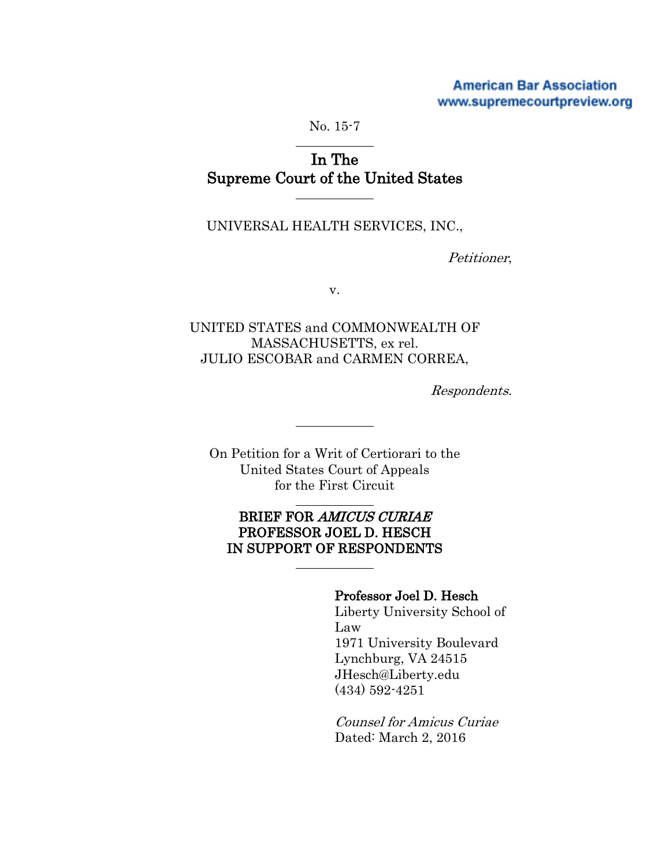## **American Bar Association** www.supremecourtpreview.org

No. 15-7

# In The Supreme Court of the United States

UNIVERSAL HEALTH SERVICES, INC.,

Petitioner,

v.

UNITED STATES and COMMONWEALTH OF MASSACHUSETTS, ex rel. JULIO ESCOBAR and CARMEN CORREA,

Respondents.

On Petition for a Writ of Certiorari to the United States Court of Appeals for the First Circuit

## BRIEF FOR AMICUS CURIAE PROFESSOR JOEL D. HESCH IN SUPPORT OF RESPONDENTS

### Professor Joel D. Hesch

Liberty University School of Law 1971 University Boulevard Lynchburg, VA 24515 JHesch@Liberty.edu (434) 592-4251

Counsel for Amicus Curiae Dated: March 2, 2016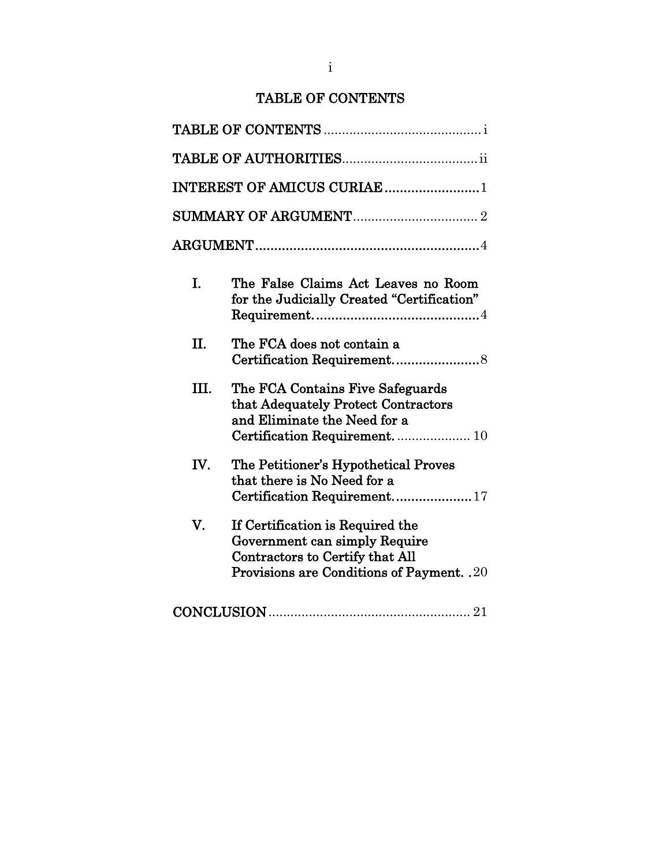## TABLE OF CONTENTS

| INTEREST OF AMICUS CURIAE1                                                                                                                        |
|---------------------------------------------------------------------------------------------------------------------------------------------------|
|                                                                                                                                                   |
|                                                                                                                                                   |
| The False Claims Act Leaves no Room<br>for the Judicially Created "Certification"                                                                 |
| The FCA does not contain a                                                                                                                        |
| The FCA Contains Five Safeguards<br>that Adequately Protect Contractors<br>and Eliminate the Need for a                                           |
| The Petitioner's Hypothetical Proves<br>that there is No Need for a<br>Certification Requirement17                                                |
| If Certification is Required the<br>Government can simply Require<br>Contractors to Certify that All<br>Provisions are Conditions of Payment. .20 |
|                                                                                                                                                   |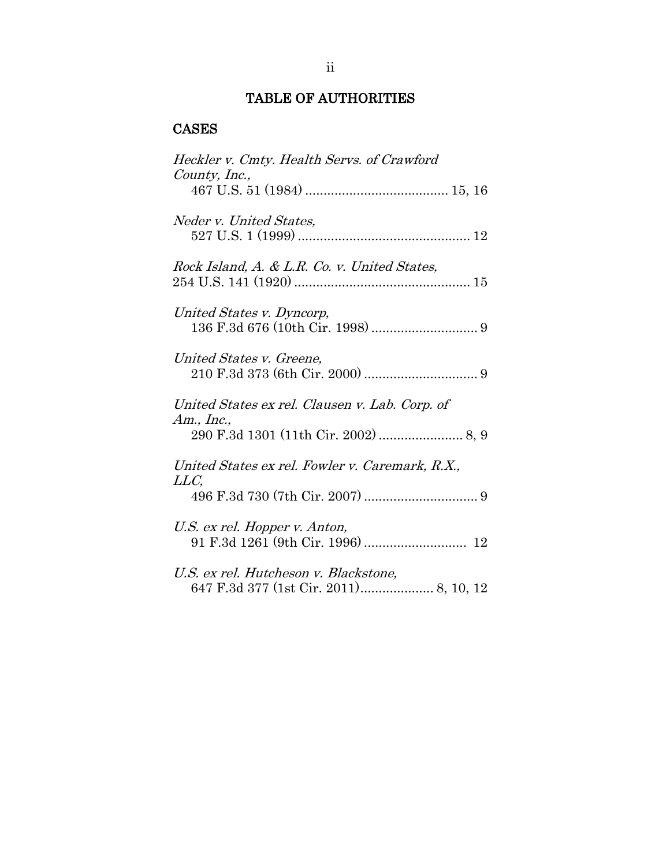## TABLE OF AUTHORITIES

## CASES

| Heckler v. Cmty. Health Servs. of Crawford<br>County, Inc.,                     |
|---------------------------------------------------------------------------------|
|                                                                                 |
| Neder v. United States,                                                         |
| Rock Island, A. & L.R. Co. v. United States,                                    |
| United States v. Dyncorp,                                                       |
| United States v. Greene,                                                        |
| United States ex rel. Clausen v. Lab. Corp. of<br>Am., Inc.,                    |
|                                                                                 |
| United States ex rel. Fowler v. Caremark, R.X.,<br>LLC,                         |
|                                                                                 |
| U.S. ex rel. Hopper v. Anton,                                                   |
| U.S. ex rel. Hutcheson v. Blackstone,<br>647 F.3d 377 (1st Cir. 2011) 8, 10, 12 |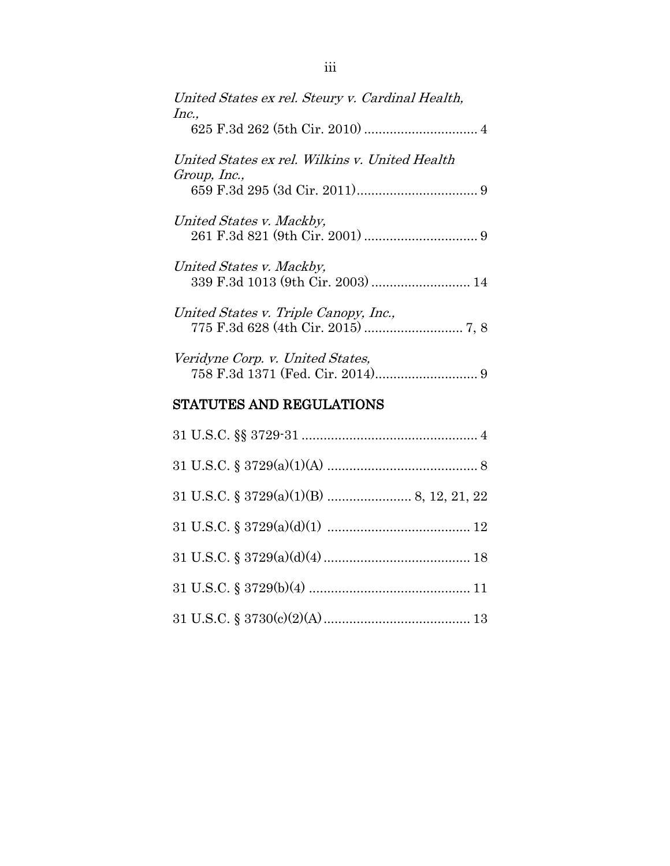| United States ex rel. Steury v. Cardinal Health,<br>Inc.,      |
|----------------------------------------------------------------|
| United States ex rel. Wilkins v. United Health<br>Group, Inc., |
| United States v. Mackby,                                       |
| United States v. Mackby,                                       |
| United States v. Triple Canopy, Inc.,                          |
| Veridyne Corp. v. United States,                               |

## STATUTES AND REGULATIONS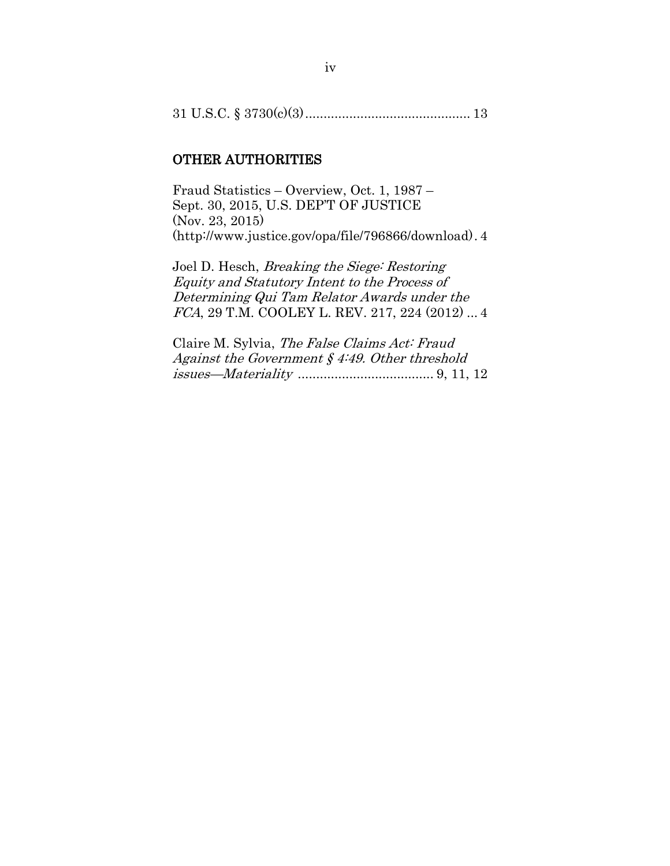|--|--|--|--|--|

#### OTHER AUTHORITIES

Fraud Statistics – Overview, Oct. 1, 1987 – Sept. 30, 2015, U.S. DEP'T OF JUSTICE (Nov. 23, 2015) (http://www.justice.gov/opa/file/796866/download). 4

Joel D. Hesch, Breaking the Siege: Restoring Equity and Statutory Intent to the Process of Determining Qui Tam Relator Awards under the FCA, 29 T.M. COOLEY L. REV. 217, 224 (2012) ... 4

Claire M. Sylvia, The False Claims Act: Fraud Against the Government  $§$  4:49. Other threshold issues—Materiality ..................................... 9, 11, 12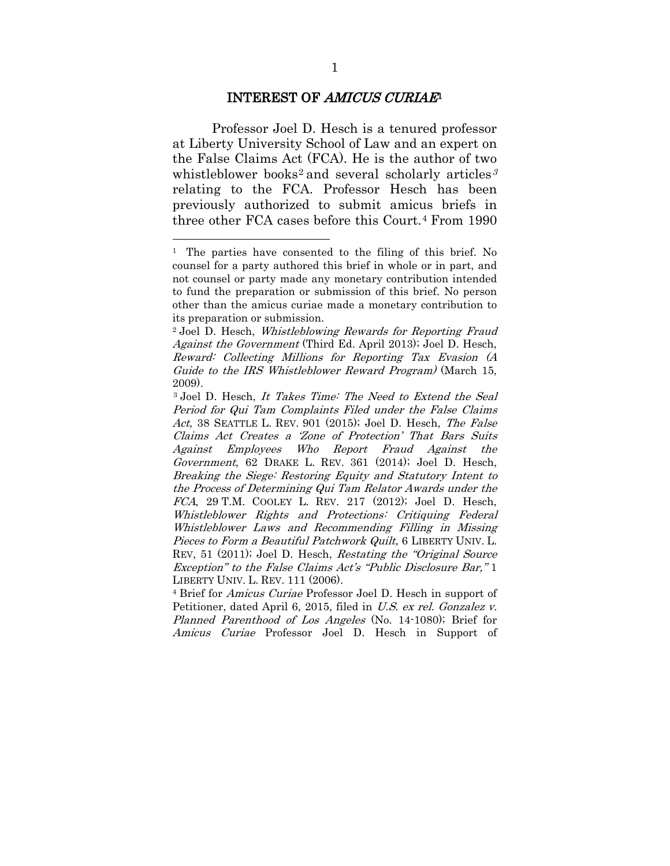#### INTEREST OF AMICUS CURIAE[1](#page-5-0)

Professor Joel D. Hesch is a tenured professor at Liberty University School of Law and an expert on the False Claims Act (FCA). He is the author of two whistleblower books<sup>[2](#page-5-1)</sup> and several scholarly articles<sup>[3](#page-5-2)</sup> relating to the FCA. Professor Hesch has been previously authorized to submit amicus briefs in three other FCA cases before this Court.[4](#page-5-3) From 1990

<span id="page-5-0"></span><sup>1</sup> The parties have consented to the filing of this brief. No counsel for a party authored this brief in whole or in part, and not counsel or party made any monetary contribution intended to fund the preparation or submission of this brief. No person other than the amicus curiae made a monetary contribution to its preparation or submission.

<span id="page-5-1"></span><sup>2</sup> Joel D. Hesch, Whistleblowing Rewards for Reporting Fraud Against the Government (Third Ed. April 2013); Joel D. Hesch, Reward: Collecting Millions for Reporting Tax Evasion (A Guide to the IRS Whistleblower Reward Program) (March 15, 2009).

<span id="page-5-2"></span><sup>3</sup> Joel D. Hesch, It Takes Time: The Need to Extend the Seal Period for Qui Tam Complaints Filed under the False Claims Act, 38 SEATTLE L. REV. 901 (2015); Joel D. Hesch, The False Claims Act Creates a 'Zone of Protection' That Bars Suits Against Employees Who Report Fraud Against the Government, 62 DRAKE L. REV. 361 (2014); Joel D. Hesch, Breaking the Siege: Restoring Equity and Statutory Intent to the Process of Determining Qui Tam Relator Awards under the FCA, 29 T.M. COOLEY L. REV. 217 (2012); Joel D. Hesch, Whistleblower Rights and Protections: Critiquing Federal Whistleblower Laws and Recommending Filling in Missing Pieces to Form a Beautiful Patchwork Quilt, 6 LIBERTY UNIV. L. REV, 51 (2011); Joel D. Hesch, Restating the "Original Source Exception" to the False Claims Act's "Public Disclosure Bar," 1 LIBERTY UNIV. L. REV. 111 (2006).

<span id="page-5-3"></span><sup>4</sup> Brief for Amicus Curiae Professor Joel D. Hesch in support of Petitioner, dated April 6, 2015, filed in U.S. ex rel. Gonzalez v. Planned Parenthood of Los Angeles (No. 14-1080); Brief for Amicus Curiae Professor Joel D. Hesch in Support of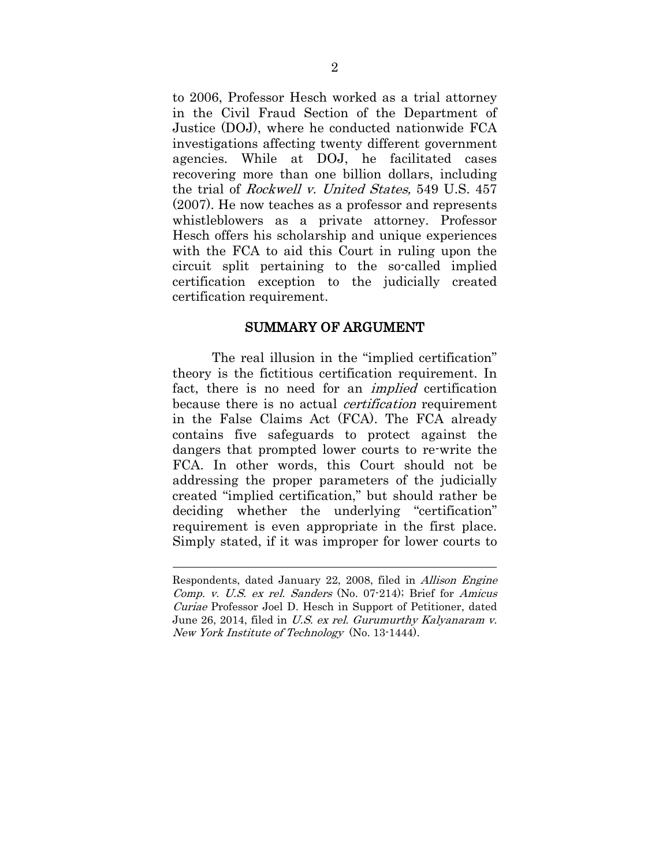to 2006, Professor Hesch worked as a trial attorney in the Civil Fraud Section of the Department of Justice (DOJ), where he conducted nationwide FCA investigations affecting twenty different government agencies. While at DOJ, he facilitated cases recovering more than one billion dollars, including the trial of Rockwell v. United States, 549 U.S. 457 (2007). He now teaches as a professor and represents whistleblowers as a private attorney. Professor Hesch offers his scholarship and unique experiences with the FCA to aid this Court in ruling upon the circuit split pertaining to the so-called implied certification exception to the judicially created certification requirement.

#### SUMMARY OF ARGUMENT

The real illusion in the "implied certification" theory is the fictitious certification requirement. In fact, there is no need for an implied certification because there is no actual *certification* requirement in the False Claims Act (FCA). The FCA already contains five safeguards to protect against the dangers that prompted lower courts to re-write the FCA. In other words, this Court should not be addressing the proper parameters of the judicially created "implied certification," but should rather be deciding whether the underlying "certification" requirement is even appropriate in the first place. Simply stated, if it was improper for lower courts to

Respondents, dated January 22, 2008, filed in Allison Engine Comp. v. U.S. ex rel. Sanders (No. 07-214); Brief for Amicus Curiae Professor Joel D. Hesch in Support of Petitioner, dated June 26, 2014, filed in U.S. ex rel. Gurumurthy Kalyanaram v. New York Institute of Technology (No. 13-1444).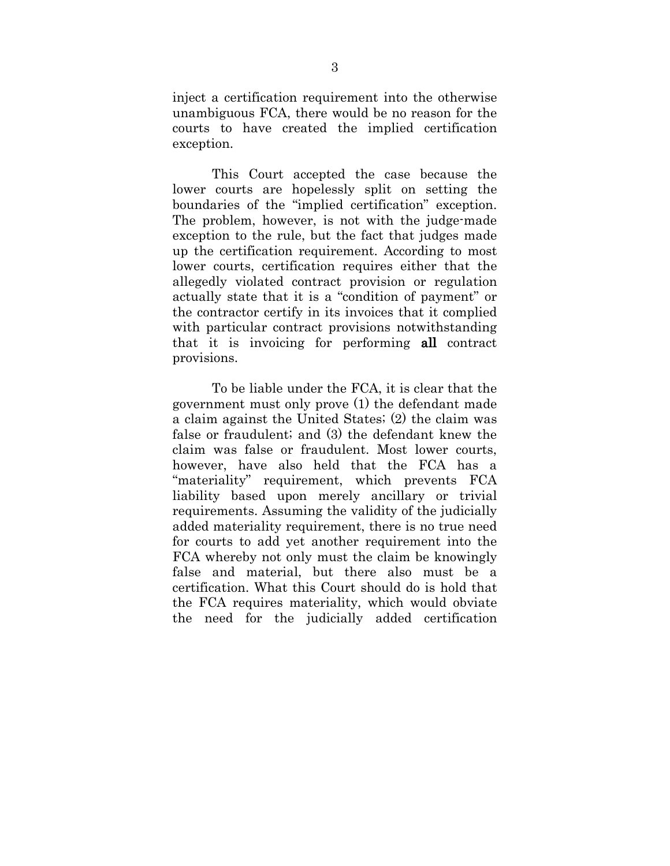inject a certification requirement into the otherwise unambiguous FCA, there would be no reason for the courts to have created the implied certification exception.

This Court accepted the case because the lower courts are hopelessly split on setting the boundaries of the "implied certification" exception. The problem, however, is not with the judge-made exception to the rule, but the fact that judges made up the certification requirement. According to most lower courts, certification requires either that the allegedly violated contract provision or regulation actually state that it is a "condition of payment" or the contractor certify in its invoices that it complied with particular contract provisions notwithstanding that it is invoicing for performing all contract provisions.

To be liable under the FCA, it is clear that the government must only prove (1) the defendant made a claim against the United States; (2) the claim was false or fraudulent; and (3) the defendant knew the claim was false or fraudulent. Most lower courts, however, have also held that the FCA has a "materiality" requirement, which prevents FCA liability based upon merely ancillary or trivial requirements. Assuming the validity of the judicially added materiality requirement, there is no true need for courts to add yet another requirement into the FCA whereby not only must the claim be knowingly false and material, but there also must be a certification. What this Court should do is hold that the FCA requires materiality, which would obviate the need for the judicially added certification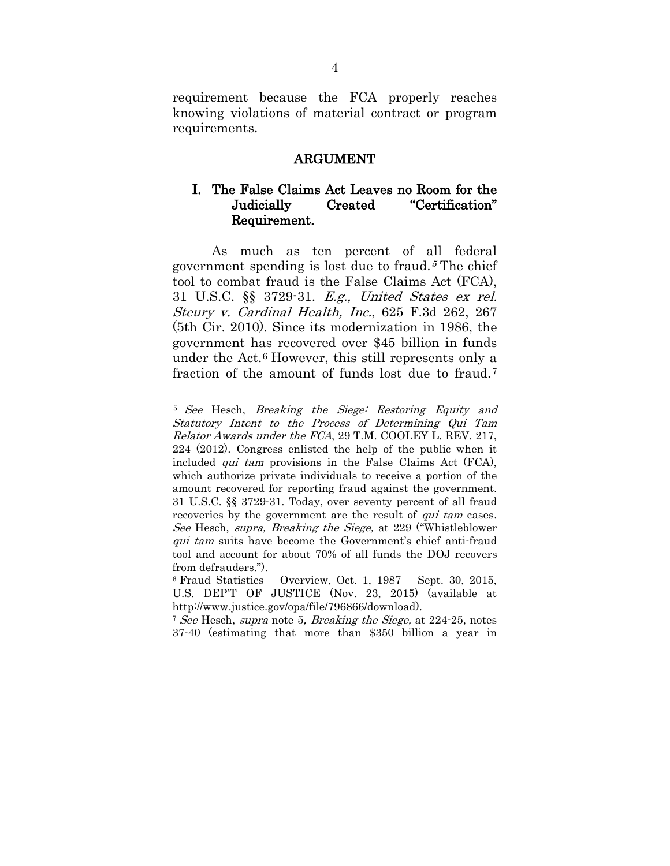requirement because the FCA properly reaches knowing violations of material contract or program requirements.

#### ARGUMENT

## I. The False Claims Act Leaves no Room for the Judicially Created "Certification" Requirement.

As much as ten percent of all federal government spending is lost due to fraud.<sup> $5$ </sup>The chief tool to combat fraud is the False Claims Act (FCA), 31 U.S.C. §§ 3729-31. E.g., United States ex rel. Steury v. Cardinal Health, Inc., 625 F.3d 262, 267 (5th Cir. 2010). Since its modernization in 1986, the government has recovered over \$45 billion in funds under the Act.[6](#page-8-0) However, this still represents only a fraction of the amount of funds lost due to fraud.[7](#page-8-1)

<sup>5</sup> See Hesch, Breaking the Siege: Restoring Equity and Statutory Intent to the Process of Determining Qui Tam Relator Awards under the FCA, 29 T.M. COOLEY L. REV. 217, 224 (2012). Congress enlisted the help of the public when it included qui tam provisions in the False Claims Act (FCA), which authorize private individuals to receive a portion of the amount recovered for reporting fraud against the government. 31 U.S.C. §§ 3729-31. Today, over seventy percent of all fraud recoveries by the government are the result of *qui tam* cases. See Hesch, supra, Breaking the Siege, at 229 ("Whistleblower qui tam suits have become the Government's chief anti-fraud tool and account for about 70% of all funds the DOJ recovers from defrauders."). 6 Fraud Statistics – Overview, Oct. 1, 1987 – Sept. 30, 2015,

<span id="page-8-0"></span>U.S. DEP'T OF JUSTICE (Nov. 23, 2015) (available at http://www.justice.gov/opa/file/796866/download).

<span id="page-8-1"></span><sup>&</sup>lt;sup>7</sup> See Hesch, supra note 5, Breaking the Siege, at 224-25, notes 37-40 (estimating that more than \$350 billion a year in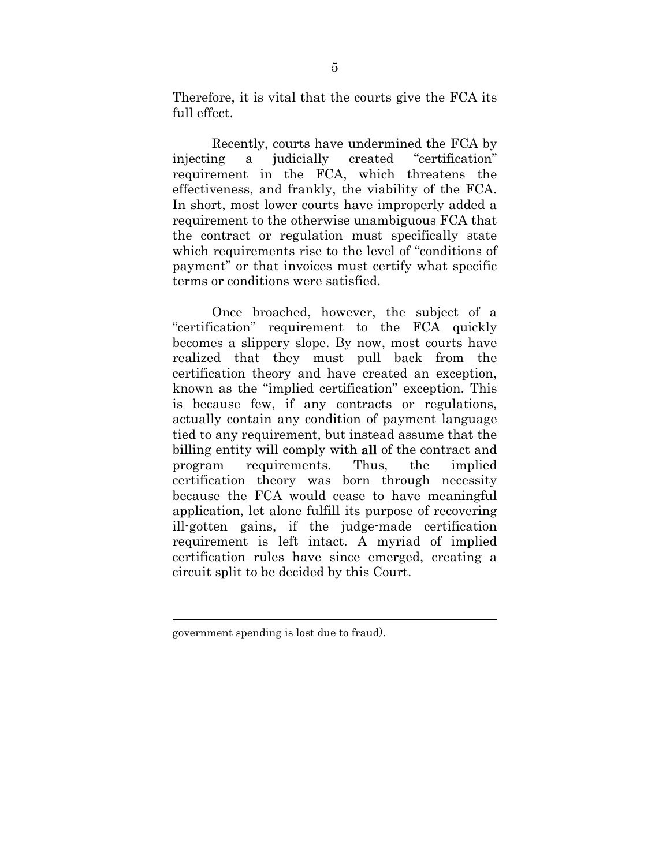Therefore, it is vital that the courts give the FCA its full effect.

Recently, courts have undermined the FCA by injecting a judicially created "certification" requirement in the FCA, which threatens the effectiveness, and frankly, the viability of the FCA. In short, most lower courts have improperly added a requirement to the otherwise unambiguous FCA that the contract or regulation must specifically state which requirements rise to the level of "conditions of payment" or that invoices must certify what specific terms or conditions were satisfied.

Once broached, however, the subject of a "certification" requirement to the FCA quickly becomes a slippery slope. By now, most courts have realized that they must pull back from the certification theory and have created an exception, known as the "implied certification" exception. This is because few, if any contracts or regulations, actually contain any condition of payment language tied to any requirement, but instead assume that the billing entity will comply with all of the contract and program requirements. Thus, the implied certification theory was born through necessity because the FCA would cease to have meaningful application, let alone fulfill its purpose of recovering ill-gotten gains, if the judge-made certification requirement is left intact. A myriad of implied certification rules have since emerged, creating a circuit split to be decided by this Court.

government spending is lost due to fraud).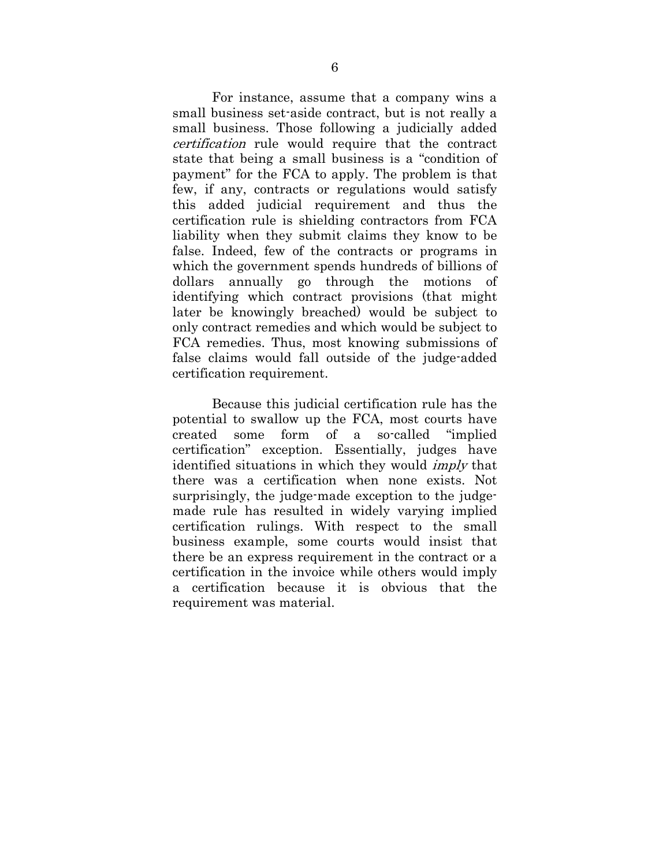For instance, assume that a company wins a small business set-aside contract, but is not really a small business. Those following a judicially added certification rule would require that the contract state that being a small business is a "condition of payment" for the FCA to apply. The problem is that few, if any, contracts or regulations would satisfy this added judicial requirement and thus the certification rule is shielding contractors from FCA liability when they submit claims they know to be false. Indeed, few of the contracts or programs in which the government spends hundreds of billions of dollars annually go through the motions of identifying which contract provisions (that might later be knowingly breached) would be subject to only contract remedies and which would be subject to FCA remedies. Thus, most knowing submissions of false claims would fall outside of the judge-added certification requirement.

Because this judicial certification rule has the potential to swallow up the FCA, most courts have created some form of a so-called "implied certification" exception. Essentially, judges have identified situations in which they would imply that there was a certification when none exists. Not surprisingly, the judge-made exception to the judgemade rule has resulted in widely varying implied certification rulings. With respect to the small business example, some courts would insist that there be an express requirement in the contract or a certification in the invoice while others would imply a certification because it is obvious that the requirement was material.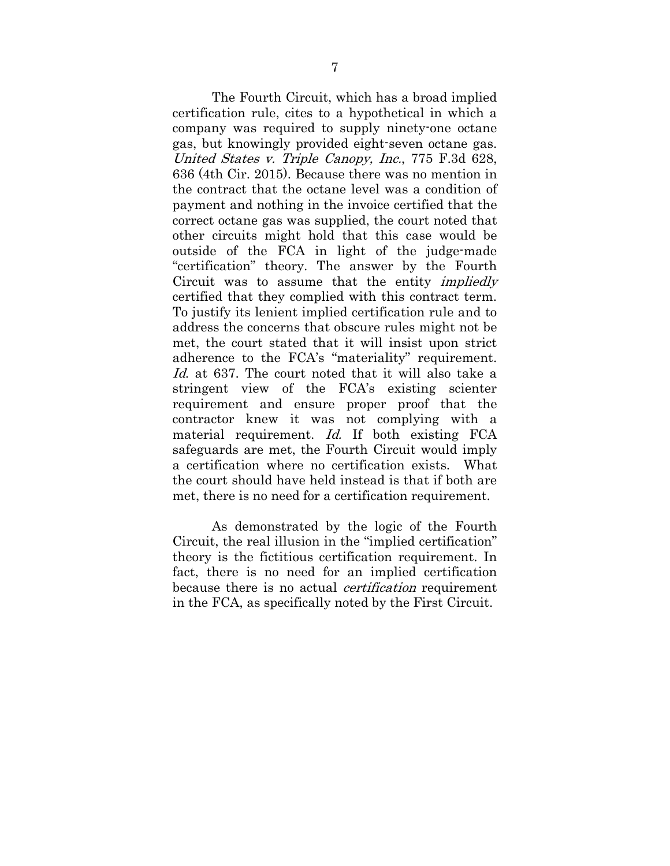The Fourth Circuit, which has a broad implied certification rule, cites to a hypothetical in which a company was required to supply ninety-one octane gas, but knowingly provided eight-seven octane gas. United States v. Triple Canopy, Inc., 775 F.3d 628, 636 (4th Cir. 2015). Because there was no mention in the contract that the octane level was a condition of payment and nothing in the invoice certified that the correct octane gas was supplied, the court noted that other circuits might hold that this case would be outside of the FCA in light of the judge-made "certification" theory. The answer by the Fourth Circuit was to assume that the entity impliedly certified that they complied with this contract term. To justify its lenient implied certification rule and to address the concerns that obscure rules might not be met, the court stated that it will insist upon strict adherence to the FCA's "materiality" requirement. Id. at 637. The court noted that it will also take a stringent view of the FCA's existing scienter requirement and ensure proper proof that the contractor knew it was not complying with a material requirement. Id. If both existing FCA safeguards are met, the Fourth Circuit would imply a certification where no certification exists. What the court should have held instead is that if both are met, there is no need for a certification requirement.

As demonstrated by the logic of the Fourth Circuit, the real illusion in the "implied certification" theory is the fictitious certification requirement. In fact, there is no need for an implied certification because there is no actual *certification* requirement in the FCA, as specifically noted by the First Circuit.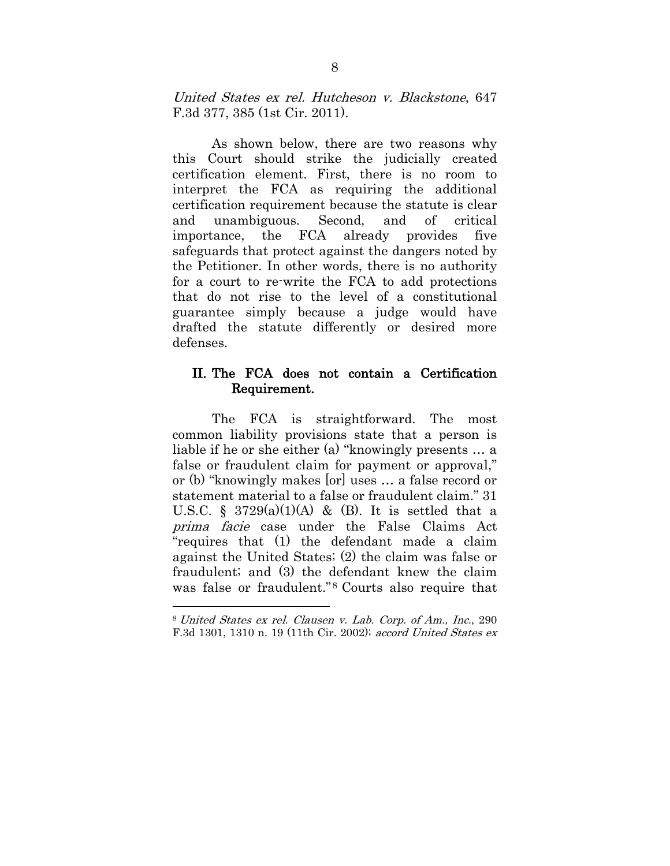United States ex rel. Hutcheson v. Blackstone, 647 F.3d 377, 385 (1st Cir. 2011).

As shown below, there are two reasons why this Court should strike the judicially created certification element. First, there is no room to interpret the FCA as requiring the additional certification requirement because the statute is clear and unambiguous. Second, and of critical importance, the FCA already provides five safeguards that protect against the dangers noted by the Petitioner. In other words, there is no authority for a court to re-write the FCA to add protections that do not rise to the level of a constitutional guarantee simply because a judge would have drafted the statute differently or desired more defenses.

### II. The FCA does not contain a Certification Requirement.

The FCA is straightforward. The most common liability provisions state that a person is liable if he or she either (a) "knowingly presents … a false or fraudulent claim for payment or approval," or (b) "knowingly makes [or] uses … a false record or statement material to a false or fraudulent claim." 31 U.S.C. § 3729(a)(1)(A) & (B). It is settled that a prima facie case under the False Claims Act "requires that (1) the defendant made a claim against the United States; (2) the claim was false or fraudulent; and (3) the defendant knew the claim was false or fraudulent."<sup>[8](#page-12-0)</sup> Courts also require that

<span id="page-12-0"></span><sup>8</sup> United States ex rel. Clausen v. Lab. Corp. of Am., Inc., 290 F.3d 1301, 1310 n. 19 (11th Cir. 2002); accord United States ex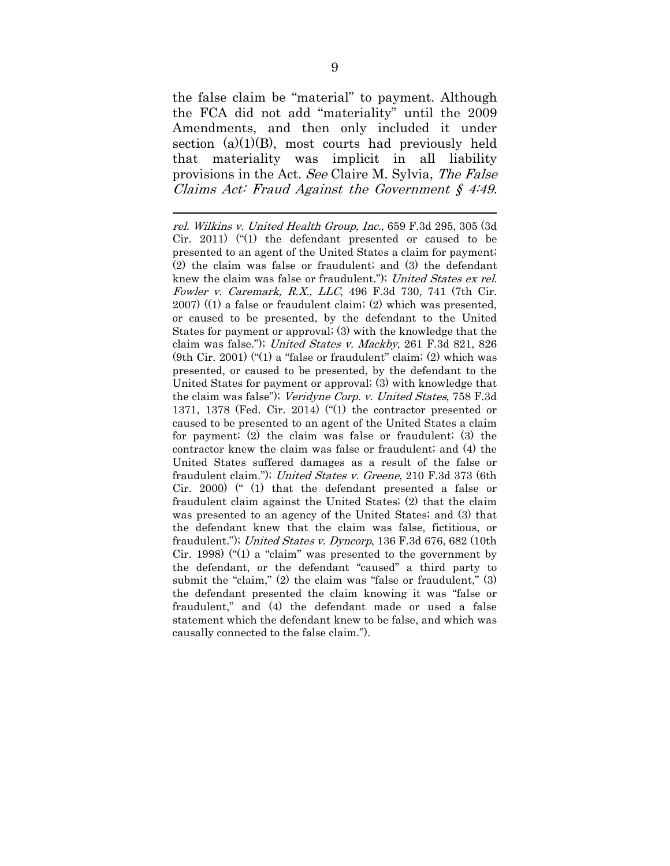the false claim be "material" to payment. Although the FCA did not add "materiality" until the 2009 Amendments, and then only included it under section  $(a)(1)(B)$ , most courts had previously held that materiality was implicit in all liability provisions in the Act. See Claire M. Sylvia, The False Claims Act: Fraud Against the Government  $\zeta$  4:49.

 $\overline{a}$ rel. Wilkins v. United Health Group, Inc., 659 F.3d 295, 305 (3d Cir. 2011) ("(1) the defendant presented or caused to be presented to an agent of the United States a claim for payment; (2) the claim was false or fraudulent; and (3) the defendant knew the claim was false or fraudulent."); United States ex rel. Fowler v. Caremark, R.X., LLC, 496 F.3d 730, 741 (7th Cir. 2007) ((1) a false or fraudulent claim; (2) which was presented, or caused to be presented, by the defendant to the United States for payment or approval; (3) with the knowledge that the claim was false."); United States v. Mackby, 261 F.3d 821, 826 (9th Cir. 2001) ("(1) a "false or fraudulent" claim; (2) which was presented, or caused to be presented, by the defendant to the United States for payment or approval; (3) with knowledge that the claim was false"); Veridyne Corp. v. United States, 758 F.3d 1371, 1378 (Fed. Cir. 2014) ("(1) the contractor presented or caused to be presented to an agent of the United States a claim for payment; (2) the claim was false or fraudulent; (3) the contractor knew the claim was false or fraudulent; and (4) the United States suffered damages as a result of the false or fraudulent claim."); United States v. Greene, 210 F.3d 373 (6th Cir. 2000) (" (1) that the defendant presented a false or fraudulent claim against the United States; (2) that the claim was presented to an agency of the United States; and (3) that the defendant knew that the claim was false, fictitious, or fraudulent."); United States v. Dyncorp, 136 F.3d 676, 682 (10th Cir. 1998) ("(1) a "claim" was presented to the government by the defendant, or the defendant "caused" a third party to submit the "claim," (2) the claim was "false or fraudulent," (3) the defendant presented the claim knowing it was "false or fraudulent," and (4) the defendant made or used a false statement which the defendant knew to be false, and which was causally connected to the false claim.").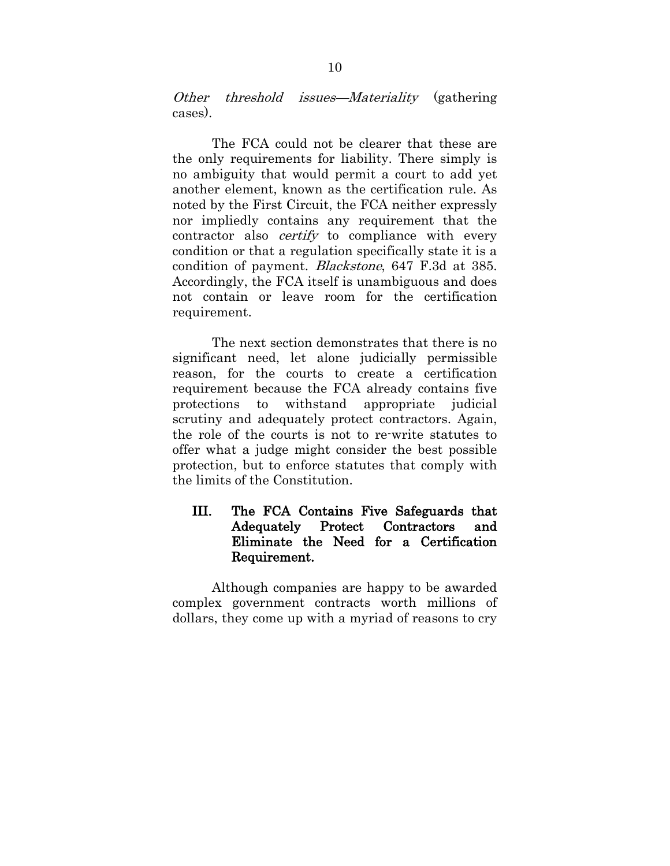Other threshold issues—Materiality (gathering cases).

The FCA could not be clearer that these are the only requirements for liability. There simply is no ambiguity that would permit a court to add yet another element, known as the certification rule. As noted by the First Circuit, the FCA neither expressly nor impliedly contains any requirement that the contractor also *certify* to compliance with every condition or that a regulation specifically state it is a condition of payment. Blackstone, 647 F.3d at 385. Accordingly, the FCA itself is unambiguous and does not contain or leave room for the certification requirement.

The next section demonstrates that there is no significant need, let alone judicially permissible reason, for the courts to create a certification requirement because the FCA already contains five protections to withstand appropriate judicial scrutiny and adequately protect contractors. Again, the role of the courts is not to re-write statutes to offer what a judge might consider the best possible protection, but to enforce statutes that comply with the limits of the Constitution.

## III. The FCA Contains Five Safeguards that Adequately Protect Contractors and Eliminate the Need for a Certification Requirement.

Although companies are happy to be awarded complex government contracts worth millions of dollars, they come up with a myriad of reasons to cry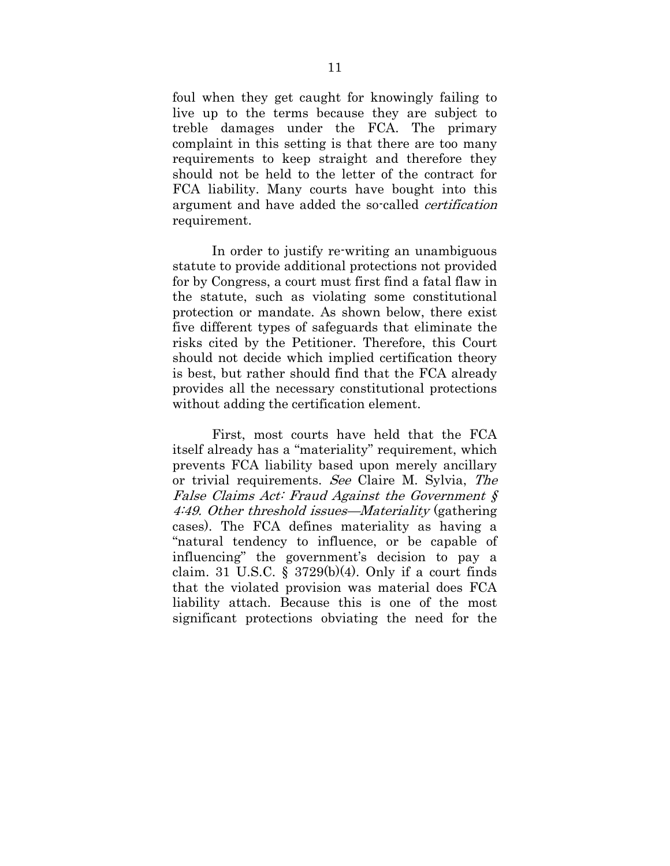foul when they get caught for knowingly failing to live up to the terms because they are subject to treble damages under the FCA. The primary complaint in this setting is that there are too many requirements to keep straight and therefore they should not be held to the letter of the contract for FCA liability. Many courts have bought into this argument and have added the so-called certification requirement.

In order to justify re-writing an unambiguous statute to provide additional protections not provided for by Congress, a court must first find a fatal flaw in the statute, such as violating some constitutional protection or mandate. As shown below, there exist five different types of safeguards that eliminate the risks cited by the Petitioner. Therefore, this Court should not decide which implied certification theory is best, but rather should find that the FCA already provides all the necessary constitutional protections without adding the certification element.

First, most courts have held that the FCA itself already has a "materiality" requirement, which prevents FCA liability based upon merely ancillary or trivial requirements. See Claire M. Sylvia, The False Claims Act: Fraud Against the Government § 4:49. Other threshold issues—Materiality (gathering cases). The FCA defines materiality as having a "natural tendency to influence, or be capable of influencing" the government's decision to pay a claim. 31 U.S.C. § 3729 $(b)(4)$ . Only if a court finds that the violated provision was material does FCA liability attach. Because this is one of the most significant protections obviating the need for the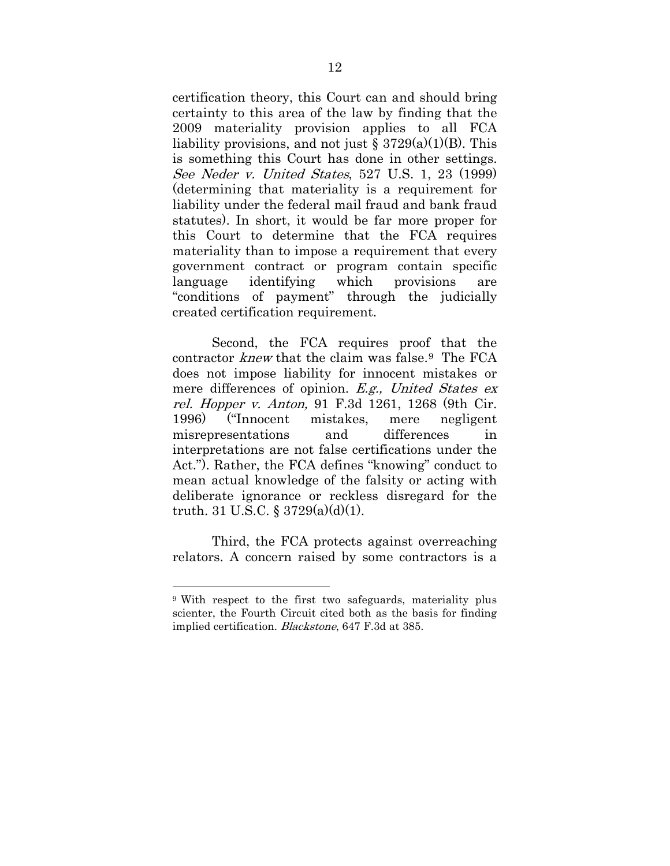certification theory, this Court can and should bring certainty to this area of the law by finding that the 2009 materiality provision applies to all FCA liability provisions, and not just  $\S 3729(a)(1)(B)$ . This is something this Court has done in other settings. See Neder v. United States, 527 U.S. 1, 23 (1999) (determining that materiality is a requirement for liability under the federal mail fraud and bank fraud statutes). In short, it would be far more proper for this Court to determine that the FCA requires materiality than to impose a requirement that every government contract or program contain specific language identifying which provisions are "conditions of payment" through the judicially created certification requirement.

Second, the FCA requires proof that the contractor knew that the claim was false.[9](#page-16-0) The FCA does not impose liability for innocent mistakes or mere differences of opinion. E.g., United States ex rel. Hopper v. Anton, 91 F.3d 1261, 1268 (9th Cir. 1996) ("Innocent mistakes, mere negligent misrepresentations and differences in interpretations are not false certifications under the Act."). Rather, the FCA defines "knowing" conduct to mean actual knowledge of the falsity or acting with deliberate ignorance or reckless disregard for the truth. 31 U.S.C. §  $3729(a)(d)(1)$ .

Third, the FCA protects against overreaching relators. A concern raised by some contractors is a

<span id="page-16-0"></span><sup>9</sup> With respect to the first two safeguards, materiality plus scienter, the Fourth Circuit cited both as the basis for finding implied certification. Blackstone, 647 F.3d at 385.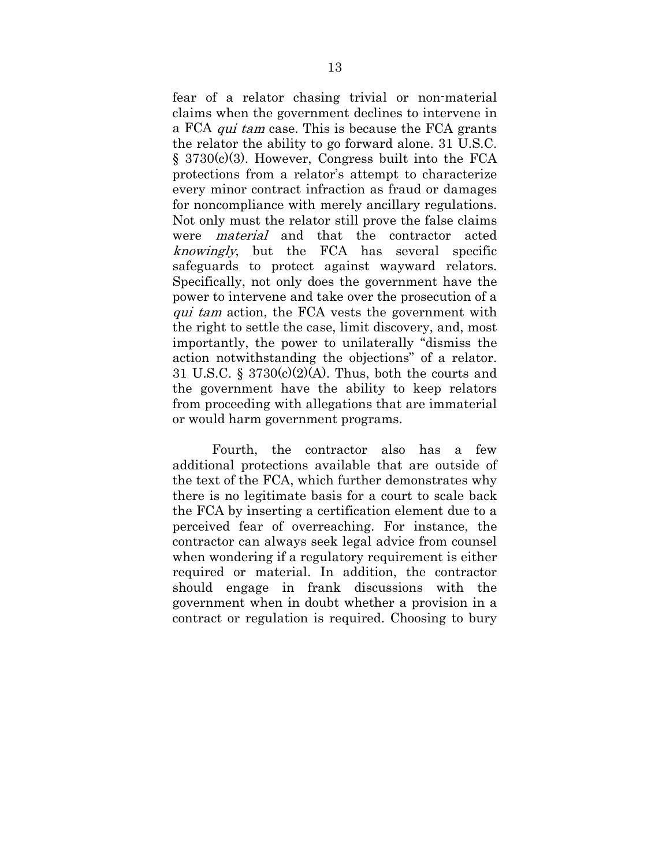fear of a relator chasing trivial or non-material claims when the government declines to intervene in a FCA qui tam case. This is because the FCA grants the relator the ability to go forward alone. 31 U.S.C. § 3730(c)(3). However, Congress built into the FCA protections from a relator's attempt to characterize every minor contract infraction as fraud or damages for noncompliance with merely ancillary regulations. Not only must the relator still prove the false claims were material and that the contractor acted knowingly, but the FCA has several specific safeguards to protect against wayward relators. Specifically, not only does the government have the power to intervene and take over the prosecution of a qui tam action, the FCA vests the government with the right to settle the case, limit discovery, and, most importantly, the power to unilaterally "dismiss the action notwithstanding the objections" of a relator. 31 U.S.C. §  $3730(c)(2)(A)$ . Thus, both the courts and the government have the ability to keep relators from proceeding with allegations that are immaterial or would harm government programs.

Fourth, the contractor also has a few additional protections available that are outside of the text of the FCA, which further demonstrates why there is no legitimate basis for a court to scale back the FCA by inserting a certification element due to a perceived fear of overreaching. For instance, the contractor can always seek legal advice from counsel when wondering if a regulatory requirement is either required or material. In addition, the contractor should engage in frank discussions with the government when in doubt whether a provision in a contract or regulation is required. Choosing to bury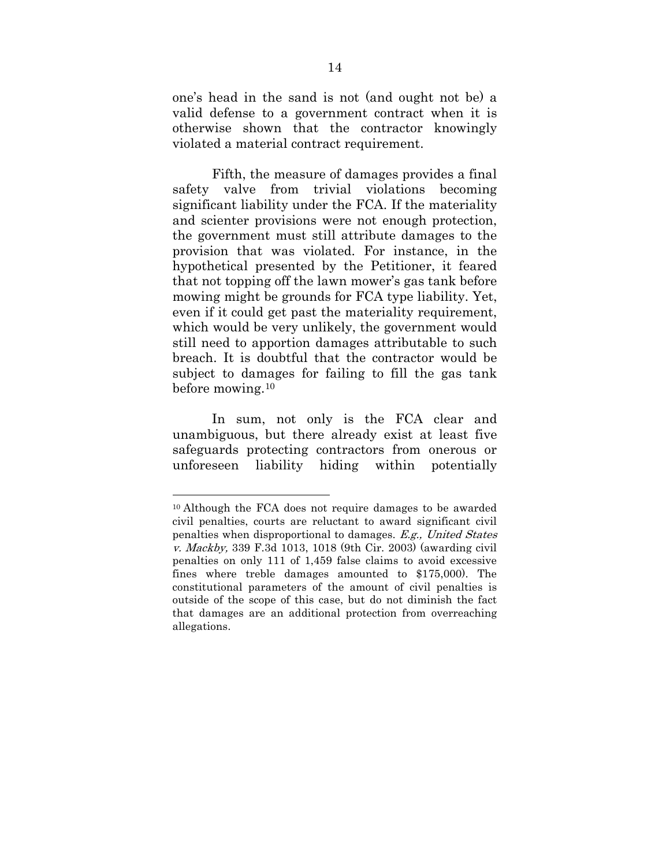one's head in the sand is not (and ought not be) a valid defense to a government contract when it is otherwise shown that the contractor knowingly violated a material contract requirement.

Fifth, the measure of damages provides a final safety valve from trivial violations becoming significant liability under the FCA. If the materiality and scienter provisions were not enough protection, the government must still attribute damages to the provision that was violated. For instance, in the hypothetical presented by the Petitioner, it feared that not topping off the lawn mower's gas tank before mowing might be grounds for FCA type liability. Yet, even if it could get past the materiality requirement, which would be very unlikely, the government would still need to apportion damages attributable to such breach. It is doubtful that the contractor would be subject to damages for failing to fill the gas tank before mowing[.10](#page-18-0)

In sum, not only is the FCA clear and unambiguous, but there already exist at least five safeguards protecting contractors from onerous or unforeseen liability hiding within potentially

<span id="page-18-0"></span><sup>10</sup> Although the FCA does not require damages to be awarded civil penalties, courts are reluctant to award significant civil penalties when disproportional to damages. E.g., United States v. Mackby, 339 F.3d 1013, 1018 (9th Cir. 2003) (awarding civil penalties on only 111 of 1,459 false claims to avoid excessive fines where treble damages amounted to \$175,000). The constitutional parameters of the amount of civil penalties is outside of the scope of this case, but do not diminish the fact that damages are an additional protection from overreaching allegations.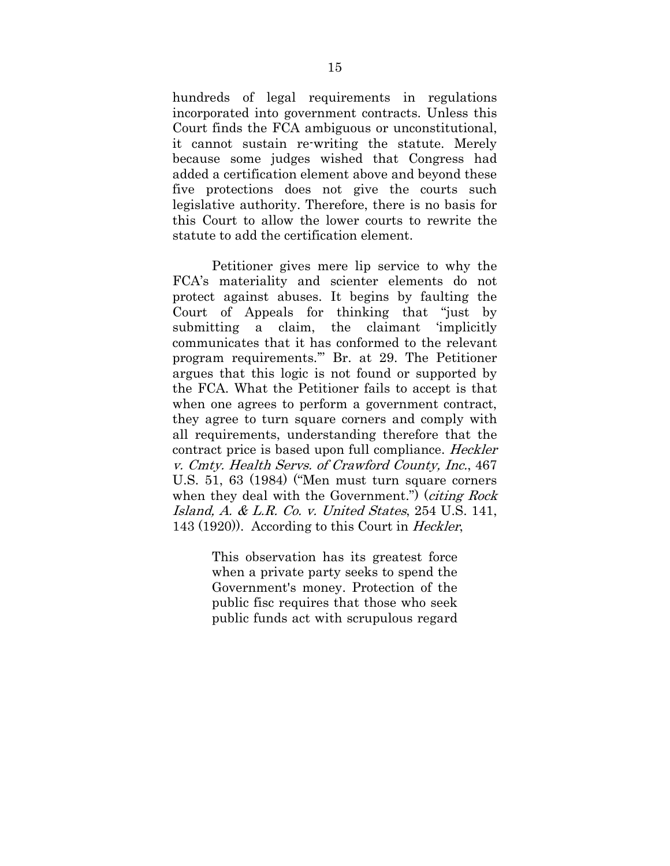hundreds of legal requirements in regulations incorporated into government contracts. Unless this Court finds the FCA ambiguous or unconstitutional, it cannot sustain re-writing the statute. Merely because some judges wished that Congress had added a certification element above and beyond these five protections does not give the courts such legislative authority. Therefore, there is no basis for this Court to allow the lower courts to rewrite the statute to add the certification element.

Petitioner gives mere lip service to why the FCA's materiality and scienter elements do not protect against abuses. It begins by faulting the Court of Appeals for thinking that "just by submitting a claim, the claimant 'implicitly communicates that it has conformed to the relevant program requirements.'" Br. at 29. The Petitioner argues that this logic is not found or supported by the FCA. What the Petitioner fails to accept is that when one agrees to perform a government contract, they agree to turn square corners and comply with all requirements, understanding therefore that the contract price is based upon full compliance. Heckler v. Cmty. Health Servs. of Crawford County, Inc., 467 U.S. 51, 63 (1984) ("Men must turn square corners when they deal with the Government.") (*citing Rock* Island, A. & L.R. Co. v. United States, 254 U.S. 141, 143 (1920)). According to this Court in Heckler,

> This observation has its greatest force when a private party seeks to spend the Government's money. Protection of the public fisc requires that those who seek public funds act with scrupulous regard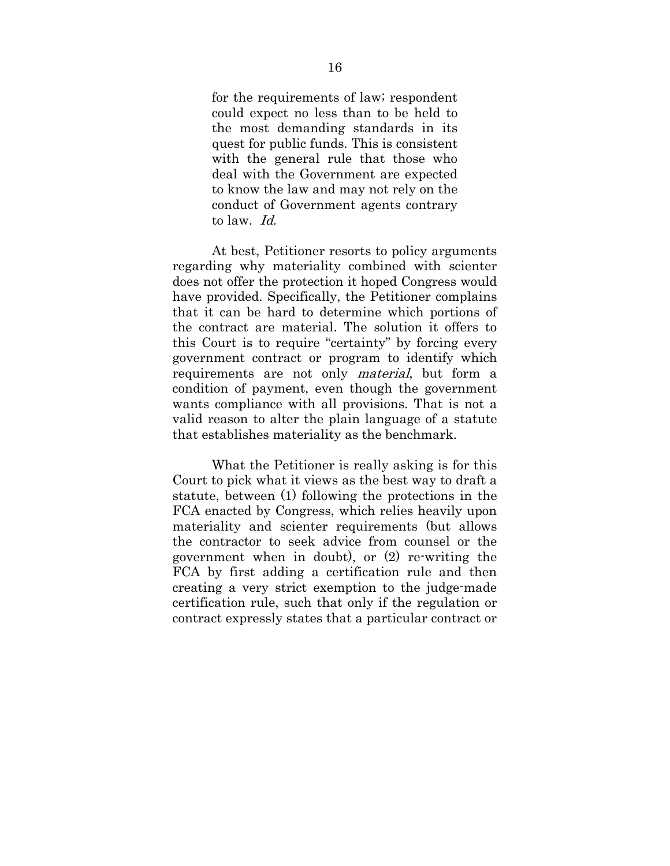for the requirements of law; respondent could expect no less than to be held to the most demanding standards in its quest for public funds. This is consistent with the general rule that those who deal with the Government are expected to know the law and may not rely on the conduct of Government agents contrary to law. Id.

At best, Petitioner resorts to policy arguments regarding why materiality combined with scienter does not offer the protection it hoped Congress would have provided. Specifically, the Petitioner complains that it can be hard to determine which portions of the contract are material. The solution it offers to this Court is to require "certainty" by forcing every government contract or program to identify which requirements are not only material, but form a condition of payment, even though the government wants compliance with all provisions. That is not a valid reason to alter the plain language of a statute that establishes materiality as the benchmark.

What the Petitioner is really asking is for this Court to pick what it views as the best way to draft a statute, between (1) following the protections in the FCA enacted by Congress, which relies heavily upon materiality and scienter requirements (but allows the contractor to seek advice from counsel or the government when in doubt), or (2) re-writing the FCA by first adding a certification rule and then creating a very strict exemption to the judge-made certification rule, such that only if the regulation or contract expressly states that a particular contract or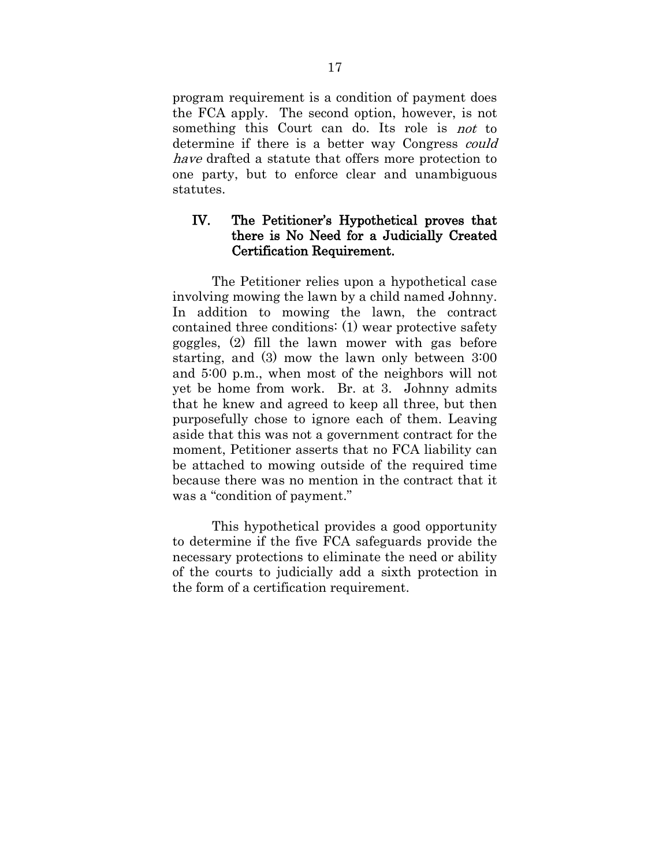program requirement is a condition of payment does the FCA apply. The second option, however, is not something this Court can do. Its role is not to determine if there is a better way Congress *could* have drafted a statute that offers more protection to one party, but to enforce clear and unambiguous statutes.

### IV. The Petitioner's Hypothetical proves that there is No Need for a Judicially Created Certification Requirement.

The Petitioner relies upon a hypothetical case involving mowing the lawn by a child named Johnny. In addition to mowing the lawn, the contract contained three conditions: (1) wear protective safety goggles, (2) fill the lawn mower with gas before starting, and (3) mow the lawn only between 3:00 and 5:00 p.m., when most of the neighbors will not yet be home from work. Br. at 3. Johnny admits that he knew and agreed to keep all three, but then purposefully chose to ignore each of them. Leaving aside that this was not a government contract for the moment, Petitioner asserts that no FCA liability can be attached to mowing outside of the required time because there was no mention in the contract that it was a "condition of payment."

This hypothetical provides a good opportunity to determine if the five FCA safeguards provide the necessary protections to eliminate the need or ability of the courts to judicially add a sixth protection in the form of a certification requirement.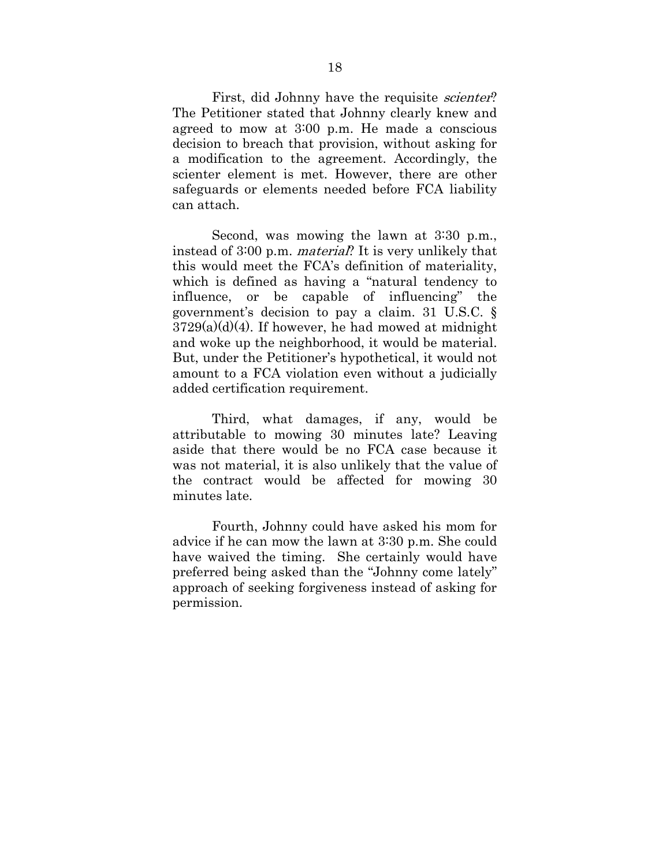First, did Johnny have the requisite *scienter*? The Petitioner stated that Johnny clearly knew and agreed to mow at 3:00 p.m. He made a conscious decision to breach that provision, without asking for a modification to the agreement. Accordingly, the scienter element is met. However, there are other safeguards or elements needed before FCA liability can attach.

Second, was mowing the lawn at 3:30 p.m., instead of 3:00 p.m. material? It is very unlikely that this would meet the FCA's definition of materiality, which is defined as having a "natural tendency to influence, or be capable of influencing" the government's decision to pay a claim. 31 U.S.C. §  $3729(a)(d)(4)$ . If however, he had mowed at midnight and woke up the neighborhood, it would be material. But, under the Petitioner's hypothetical, it would not amount to a FCA violation even without a judicially added certification requirement.

Third, what damages, if any, would be attributable to mowing 30 minutes late? Leaving aside that there would be no FCA case because it was not material, it is also unlikely that the value of the contract would be affected for mowing 30 minutes late.

Fourth, Johnny could have asked his mom for advice if he can mow the lawn at 3:30 p.m. She could have waived the timing. She certainly would have preferred being asked than the "Johnny come lately" approach of seeking forgiveness instead of asking for permission.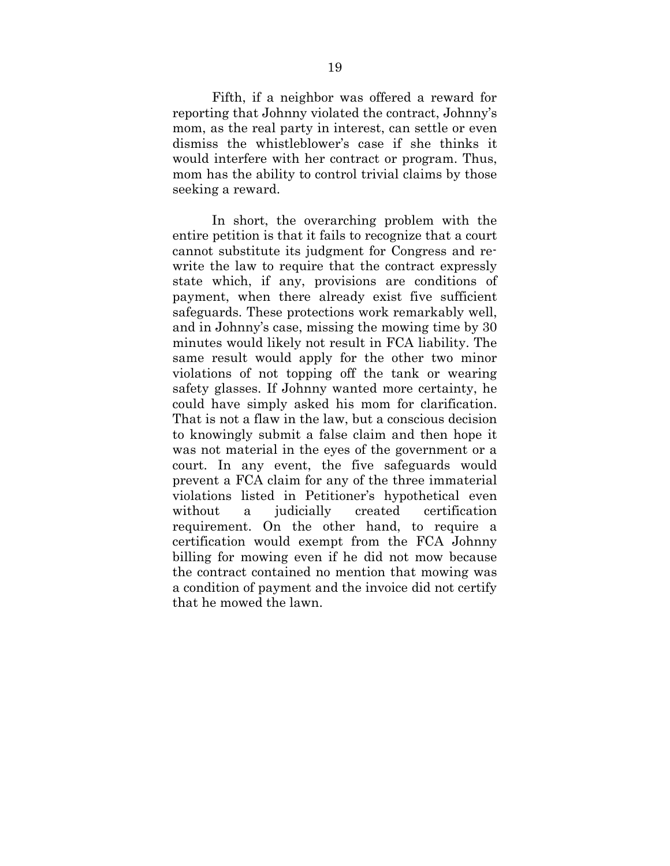Fifth, if a neighbor was offered a reward for reporting that Johnny violated the contract, Johnny's mom, as the real party in interest, can settle or even dismiss the whistleblower's case if she thinks it would interfere with her contract or program. Thus, mom has the ability to control trivial claims by those seeking a reward.

In short, the overarching problem with the entire petition is that it fails to recognize that a court cannot substitute its judgment for Congress and rewrite the law to require that the contract expressly state which, if any, provisions are conditions of payment, when there already exist five sufficient safeguards. These protections work remarkably well, and in Johnny's case, missing the mowing time by 30 minutes would likely not result in FCA liability. The same result would apply for the other two minor violations of not topping off the tank or wearing safety glasses. If Johnny wanted more certainty, he could have simply asked his mom for clarification. That is not a flaw in the law, but a conscious decision to knowingly submit a false claim and then hope it was not material in the eyes of the government or a court. In any event, the five safeguards would prevent a FCA claim for any of the three immaterial violations listed in Petitioner's hypothetical even without a judicially created certification requirement. On the other hand, to require a certification would exempt from the FCA Johnny billing for mowing even if he did not mow because the contract contained no mention that mowing was a condition of payment and the invoice did not certify that he mowed the lawn.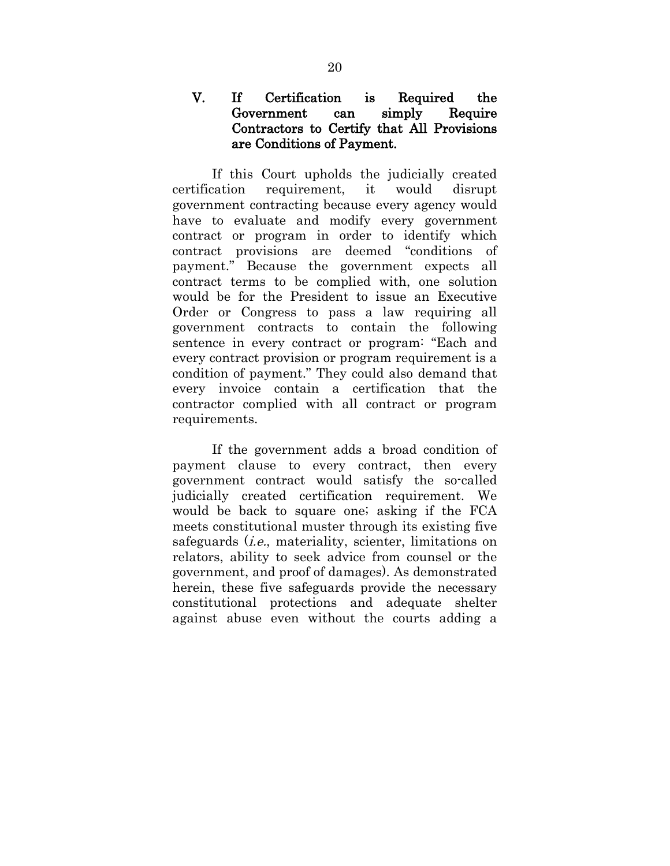## V. If Certification is Required the Government can simply Require Contractors to Certify that All Provisions are Conditions of Payment.

If this Court upholds the judicially created certification requirement, it would disrupt government contracting because every agency would have to evaluate and modify every government contract or program in order to identify which contract provisions are deemed "conditions of payment." Because the government expects all contract terms to be complied with, one solution would be for the President to issue an Executive Order or Congress to pass a law requiring all government contracts to contain the following sentence in every contract or program: "Each and every contract provision or program requirement is a condition of payment." They could also demand that every invoice contain a certification that the contractor complied with all contract or program requirements.

If the government adds a broad condition of payment clause to every contract, then every government contract would satisfy the so-called judicially created certification requirement. We would be back to square one; asking if the FCA meets constitutional muster through its existing five safeguards (*i.e.*, materiality, scienter, limitations on relators, ability to seek advice from counsel or the government, and proof of damages). As demonstrated herein, these five safeguards provide the necessary constitutional protections and adequate shelter against abuse even without the courts adding a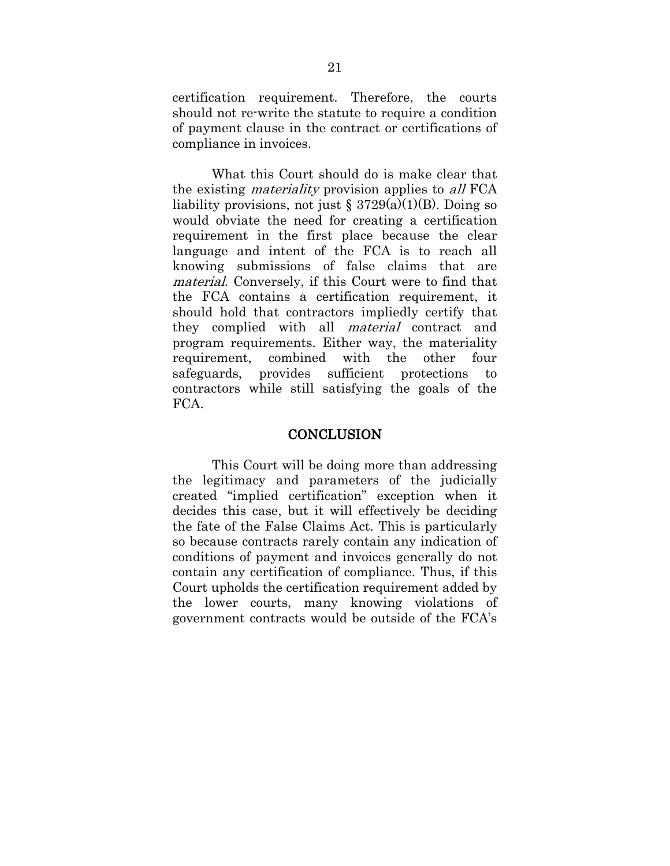certification requirement. Therefore, the courts should not re-write the statute to require a condition of payment clause in the contract or certifications of compliance in invoices.

What this Court should do is make clear that the existing *materiality* provision applies to *all* FCA liability provisions, not just  $\S 3729(a)(1)(B)$ . Doing so would obviate the need for creating a certification requirement in the first place because the clear language and intent of the FCA is to reach all knowing submissions of false claims that are material. Conversely, if this Court were to find that the FCA contains a certification requirement, it should hold that contractors impliedly certify that they complied with all material contract and program requirements. Either way, the materiality requirement, combined with the other four safeguards, provides sufficient protections to contractors while still satisfying the goals of the FCA.

#### **CONCLUSION**

This Court will be doing more than addressing the legitimacy and parameters of the judicially created "implied certification" exception when it decides this case, but it will effectively be deciding the fate of the False Claims Act. This is particularly so because contracts rarely contain any indication of conditions of payment and invoices generally do not contain any certification of compliance. Thus, if this Court upholds the certification requirement added by the lower courts, many knowing violations of government contracts would be outside of the FCA's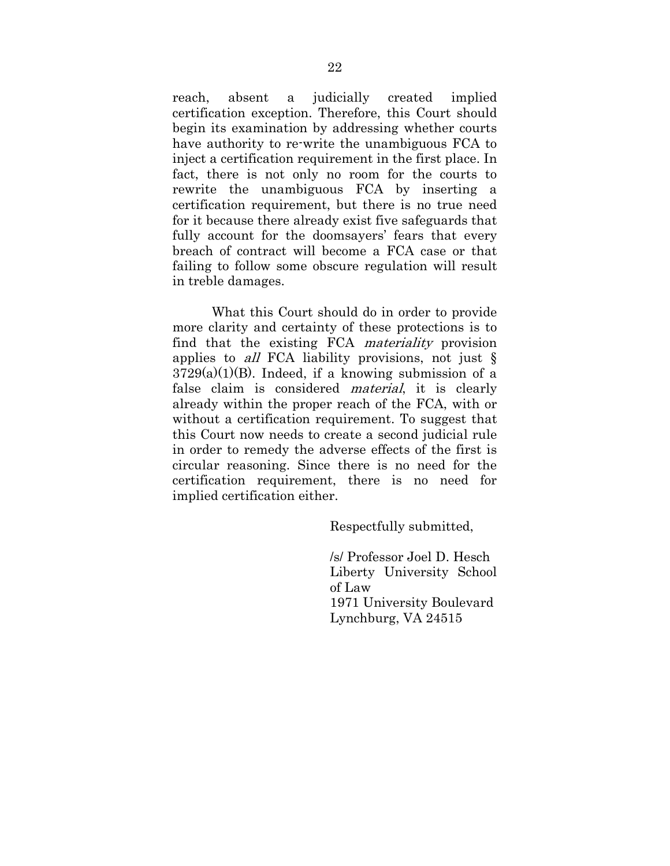reach, absent a judicially created implied certification exception. Therefore, this Court should begin its examination by addressing whether courts have authority to re-write the unambiguous FCA to inject a certification requirement in the first place. In fact, there is not only no room for the courts to rewrite the unambiguous FCA by inserting a certification requirement, but there is no true need for it because there already exist five safeguards that fully account for the doomsayers' fears that every breach of contract will become a FCA case or that failing to follow some obscure regulation will result in treble damages.

What this Court should do in order to provide more clarity and certainty of these protections is to find that the existing FCA materiality provision applies to *all* FCA liability provisions, not just  $\S$  $3729(a)(1)(B)$ . Indeed, if a knowing submission of a false claim is considered material, it is clearly already within the proper reach of the FCA, with or without a certification requirement. To suggest that this Court now needs to create a second judicial rule in order to remedy the adverse effects of the first is circular reasoning. Since there is no need for the certification requirement, there is no need for implied certification either.

Respectfully submitted,

/s/ Professor Joel D. Hesch Liberty University School of Law 1971 University Boulevard Lynchburg, VA 24515